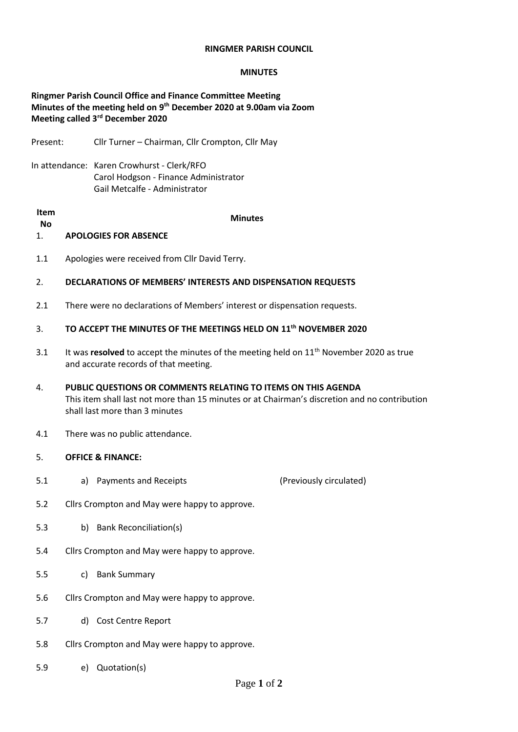## **RINGMER PARISH COUNCIL**

## **MINUTES**

# **Ringmer Parish Council Office and Finance Committee Meeting Minutes of the meeting held on 9 th December 2020 at 9.00am via Zoom Meeting called 3rd December 2020**

Present: Cllr Turner – Chairman, Cllr Crompton, Cllr May

In attendance: Karen Crowhurst - Clerk/RFO Carol Hodgson - Finance Administrator Gail Metcalfe - Administrator

#### **Item**

**No Minutes**

- 1. **APOLOGIES FOR ABSENCE**
- 1.1 Apologies were received from Cllr David Terry.

## 2. **DECLARATIONS OF MEMBERS' INTERESTS AND DISPENSATION REQUESTS**

2.1 There were no declarations of Members' interest or dispensation requests.

# 3. **TO ACCEPT THE MINUTES OF THE MEETINGS HELD ON 11th NOVEMBER 2020**

- 3.1 It was **resolved** to accept the minutes of the meeting held on 11<sup>th</sup> November 2020 as true and accurate records of that meeting.
- 4. **PUBLIC QUESTIONS OR COMMENTS RELATING TO ITEMS ON THIS AGENDA** This item shall last not more than 15 minutes or at Chairman's discretion and no contribution shall last more than 3 minutes
- 4.1 There was no public attendance.
- 5. **OFFICE & FINANCE:**
- 5.1 a) Payments and Receipts (Previously circulated)
- 5.2 Cllrs Crompton and May were happy to approve.
- 5.3 b) Bank Reconciliation(s)
- 5.4 Cllrs Crompton and May were happy to approve.
- 5.5 c) Bank Summary
- 5.6 Cllrs Crompton and May were happy to approve.
- 5.7 d) Cost Centre Report
- 5.8 Cllrs Crompton and May were happy to approve.
- 5.9 e) Quotation(s)